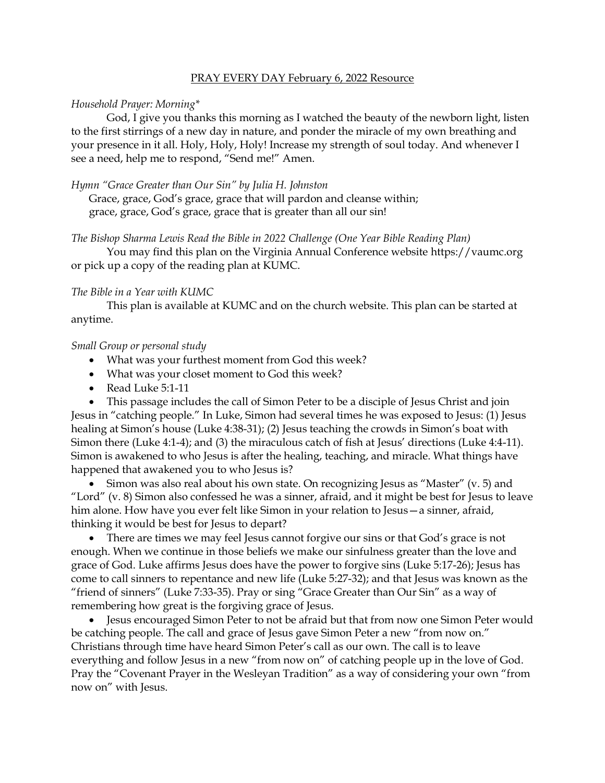# PRAY EVERY DAY February 6, 2022 Resource

### *Household Prayer: Morning\**

God, I give you thanks this morning as I watched the beauty of the newborn light, listen to the first stirrings of a new day in nature, and ponder the miracle of my own breathing and your presence in it all. Holy, Holy, Holy! Increase my strength of soul today. And whenever I see a need, help me to respond, "Send me!" Amen.

# *Hymn "Grace Greater than Our Sin" by Julia H. Johnston*

Grace, grace, God's grace, grace that will pardon and cleanse within; grace, grace, God's grace, grace that is greater than all our sin!

# *The Bishop Sharma Lewis Read the Bible in 2022 Challenge (One Year Bible Reading Plan)*

You may find this plan on the Virginia Annual Conference website [https://vaumc.org](https://vaumc.org/) or pick up a copy of the reading plan at KUMC.

#### *The Bible in a Year with KUMC*

This plan is available at KUMC and on the church website. This plan can be started at anytime.

## *Small Group or personal study*

- What was your furthest moment from God this week?
- What was your closet moment to God this week?
- Read Luke 5:1-11
- This passage includes the call of Simon Peter to be a disciple of Jesus Christ and join

Jesus in "catching people." In Luke, Simon had several times he was exposed to Jesus: (1) Jesus healing at Simon's house (Luke 4:38-31); (2) Jesus teaching the crowds in Simon's boat with Simon there (Luke 4:1-4); and (3) the miraculous catch of fish at Jesus' directions (Luke 4:4-11). Simon is awakened to who Jesus is after the healing, teaching, and miracle. What things have happened that awakened you to who Jesus is?

• Simon was also real about his own state. On recognizing Jesus as "Master" (v. 5) and "Lord" (v. 8) Simon also confessed he was a sinner, afraid, and it might be best for Jesus to leave him alone. How have you ever felt like Simon in your relation to Jesus—a sinner, afraid, thinking it would be best for Jesus to depart?

• There are times we may feel Jesus cannot forgive our sins or that God's grace is not enough. When we continue in those beliefs we make our sinfulness greater than the love and grace of God. Luke affirms Jesus does have the power to forgive sins (Luke 5:17-26); Jesus has come to call sinners to repentance and new life (Luke 5:27-32); and that Jesus was known as the "friend of sinners" (Luke 7:33-35). Pray or sing "Grace Greater than Our Sin" as a way of remembering how great is the forgiving grace of Jesus.

• Jesus encouraged Simon Peter to not be afraid but that from now one Simon Peter would be catching people. The call and grace of Jesus gave Simon Peter a new "from now on." Christians through time have heard Simon Peter's call as our own. The call is to leave everything and follow Jesus in a new "from now on" of catching people up in the love of God. Pray the "Covenant Prayer in the Wesleyan Tradition" as a way of considering your own "from now on" with Jesus.